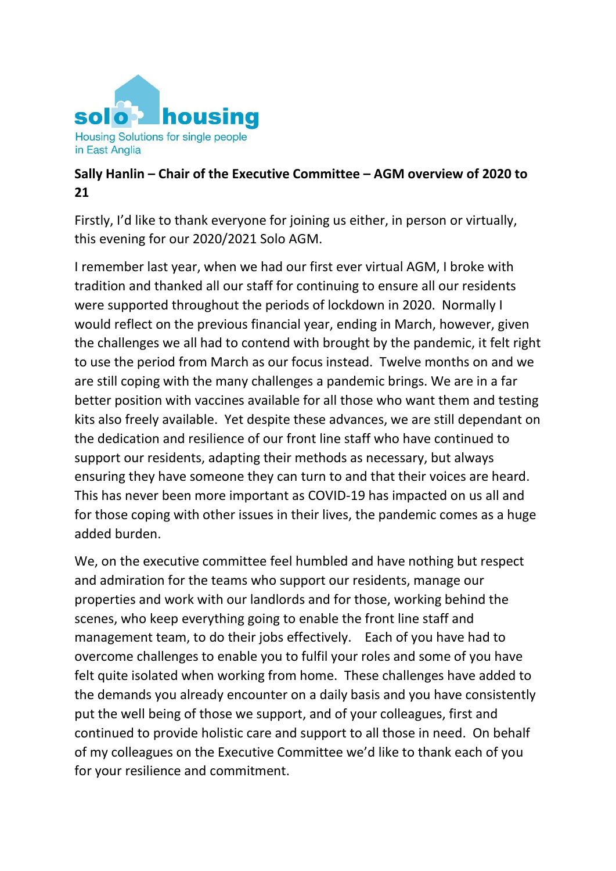

## **Sally Hanlin – Chair of the Executive Committee – AGM overview of 2020 to 21**

Firstly, I'd like to thank everyone for joining us either, in person or virtually, this evening for our 2020/2021 Solo AGM.

I remember last year, when we had our first ever virtual AGM, I broke with tradition and thanked all our staff for continuing to ensure all our residents were supported throughout the periods of lockdown in 2020. Normally I would reflect on the previous financial year, ending in March, however, given the challenges we all had to contend with brought by the pandemic, it felt right to use the period from March as our focus instead. Twelve months on and we are still coping with the many challenges a pandemic brings. We are in a far better position with vaccines available for all those who want them and testing kits also freely available. Yet despite these advances, we are still dependant on the dedication and resilience of our front line staff who have continued to support our residents, adapting their methods as necessary, but always ensuring they have someone they can turn to and that their voices are heard. This has never been more important as COVID-19 has impacted on us all and for those coping with other issues in their lives, the pandemic comes as a huge added burden.

We, on the executive committee feel humbled and have nothing but respect and admiration for the teams who support our residents, manage our properties and work with our landlords and for those, working behind the scenes, who keep everything going to enable the front line staff and management team, to do their jobs effectively. Each of you have had to overcome challenges to enable you to fulfil your roles and some of you have felt quite isolated when working from home. These challenges have added to the demands you already encounter on a daily basis and you have consistently put the well being of those we support, and of your colleagues, first and continued to provide holistic care and support to all those in need. On behalf of my colleagues on the Executive Committee we'd like to thank each of you for your resilience and commitment.